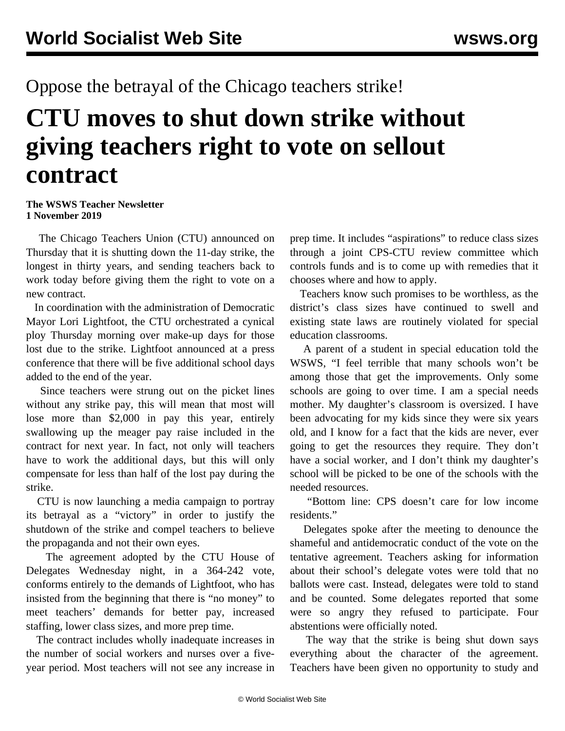## Oppose the betrayal of the Chicago teachers strike!

## **CTU moves to shut down strike without giving teachers right to vote on sellout contract**

## **The WSWS Teacher Newsletter 1 November 2019**

 The Chicago Teachers Union (CTU) announced on Thursday that it is shutting down the 11-day strike, the longest in thirty years, and sending teachers back to work today before giving them the right to vote on a new contract.

 In coordination with the administration of Democratic Mayor Lori Lightfoot, the CTU orchestrated a cynical ploy Thursday morning over make-up days for those lost due to the strike. Lightfoot announced at a press conference that there will be five additional school days added to the end of the year.

 Since teachers were strung out on the picket lines without any strike pay, this will mean that most will lose more than \$2,000 in pay this year, entirely swallowing up the meager pay raise included in the contract for next year. In fact, not only will teachers have to work the additional days, but this will only compensate for less than half of the lost pay during the strike.

 CTU is now launching a media campaign to portray its betrayal as a "victory" in order to justify the shutdown of the strike and compel teachers to believe the propaganda and not their own eyes.

 The agreement adopted by the CTU House of Delegates Wednesday night, in a 364-242 vote, conforms entirely to the demands of Lightfoot, who has insisted from the beginning that there is "no money" to meet teachers' demands for better pay, increased staffing, lower class sizes, and more prep time.

 The contract includes wholly inadequate increases in the number of social workers and nurses over a fiveyear period. Most teachers will not see any increase in

prep time. It includes "aspirations" to reduce class sizes through a joint CPS-CTU review committee which controls funds and is to come up with remedies that it chooses where and how to apply.

 Teachers know such promises to be worthless, as the district's class sizes have continued to swell and existing state laws are routinely violated for special education classrooms.

 A parent of a student in special education told the WSWS, "I feel terrible that many schools won't be among those that get the improvements. Only some schools are going to over time. I am a special needs mother. My daughter's classroom is oversized. I have been advocating for my kids since they were six years old, and I know for a fact that the kids are never, ever going to get the resources they require. They don't have a social worker, and I don't think my daughter's school will be picked to be one of the schools with the needed resources.

 "Bottom line: CPS doesn't care for low income residents."

 Delegates spoke after the meeting to denounce the shameful and antidemocratic conduct of the vote on the tentative agreement. Teachers asking for information about their school's delegate votes were told that no ballots were cast. Instead, delegates were told to stand and be counted. Some delegates reported that some were so angry they refused to participate. Four abstentions were officially noted.

 The way that the strike is being shut down says everything about the character of the agreement. Teachers have been given no opportunity to study and